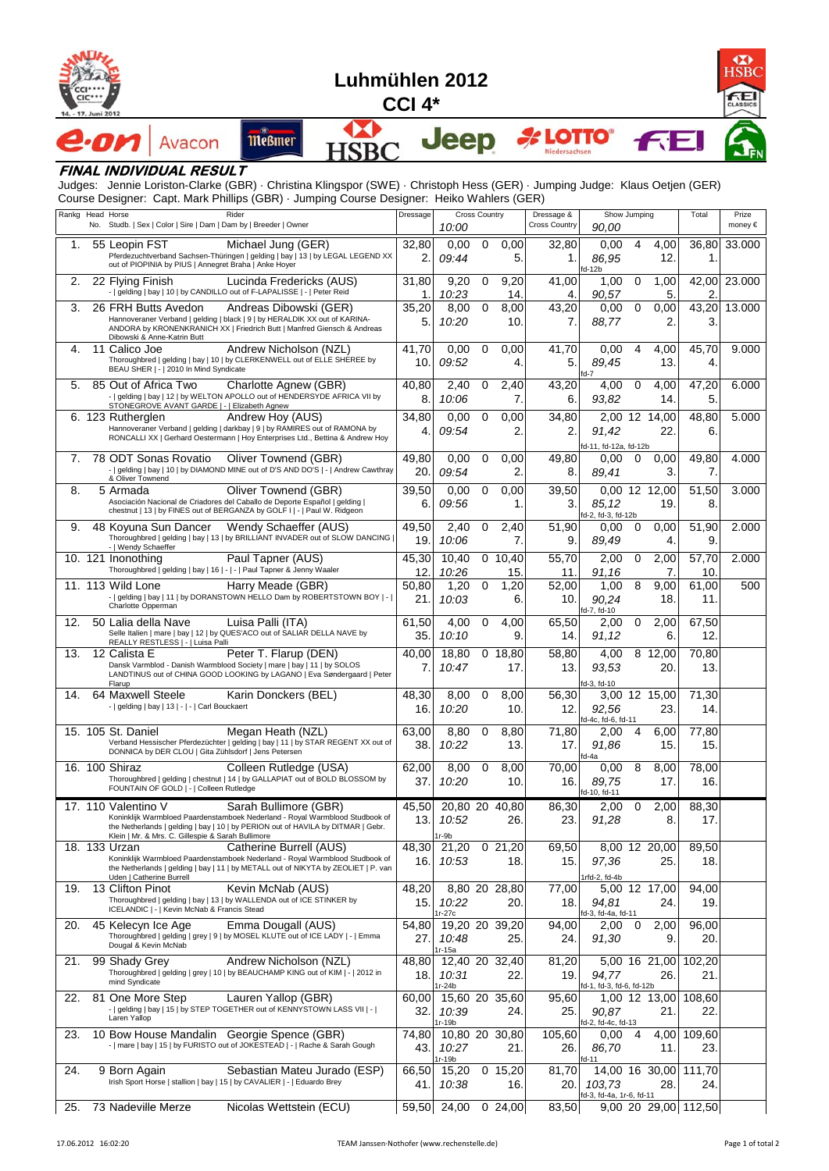



## **FINAL INDIVIDUAL RESULT**

Judges: Jennie Loriston-Clarke (GBR) · Christina Klingspor (SWE) · Christoph Hess (GER) · Jumping Judge: Klaus Oetjen (GER) Course Designer: Capt. Mark Phillips (GBR) · Jumping Course Designer: Heiko Wahlers (GER)

|     | Rankg Head Horse<br>Rider<br>No. Studb.   Sex   Color   Sire   Dam   Dam by   Breeder   Owner                                                                    | Dressage    | <b>Cross Country</b><br>10:00 |   | Dressage &<br><b>Cross Country</b> | Show Jumping |                                    | Total                | Prize<br>money€ |        |
|-----|------------------------------------------------------------------------------------------------------------------------------------------------------------------|-------------|-------------------------------|---|------------------------------------|--------------|------------------------------------|----------------------|-----------------|--------|
|     |                                                                                                                                                                  |             |                               |   |                                    |              | 90,00                              |                      |                 |        |
| 1.  | 55 Leopin FST<br>Michael Jung (GER)<br>Pferdezuchtverband Sachsen-Thüringen   gelding   bay   13   by LEGAL LEGEND XX                                            | 32,80       | 0,00                          | 0 | 0,00                               | 32,80        | 0,00                               | 4<br>4,00            | 36,80           | 33.000 |
|     | out of PIOPINIA by PIUS   Annegret Braha   Anke Hoyer                                                                                                            | 2.          | 09:44                         |   | 5.                                 | 1.           | 86,95<br>d-12b                     | 12.                  | 1.              |        |
| 2.  | 22 Flying Finish<br>Lucinda Fredericks (AUS)                                                                                                                     | 31,80       | 9,20                          | 0 | 9,20                               | 41,00        | 1,00                               | 0<br>1,00            | 42,00           | 23.000 |
|     | -   gelding   bay   10   by CANDILLO out of F-LAPALISSE   -   Peter Reid                                                                                         | 1.          | 10:23                         |   | 14.                                | 4.           | 90,57                              | 5.                   | 2               |        |
| 3.  | 26 FRH Butts Avedon<br>Andreas Dibowski (GER)                                                                                                                    | 35,20       | 8,00                          | 0 | 8,00                               | 43,20        | 0,00                               | 0,00<br>0            | 43,20           | 13.000 |
|     | Hannoveraner Verband   gelding   black   9   by HERALDIK XX out of KARINA-<br>ANDORA by KRONENKRANICH XX   Friedrich Butt   Manfred Giensch & Andreas            | 5.          | 10:20                         |   | 10.                                | 7.           | 88,77                              | 2.                   | 3.              |        |
|     | Dibowski & Anne-Katrin Butt                                                                                                                                      |             |                               |   |                                    |              |                                    |                      |                 |        |
| 4.  | 11 Calico Joe<br>Andrew Nicholson (NZL)<br>Thoroughbred   gelding   bay   10   by CLERKENWELL out of ELLE SHEREE by                                              | 41,70       | 0,00                          | 0 | 0,00                               | 41,70        | 0.00                               | 4<br>4,00            | 45,70           | 9.000  |
|     | BEAU SHER   -   2010 In Mind Syndicate                                                                                                                           | 10.         | 09:52                         |   | 4.                                 | 5.           | 89,45<br>fd-7                      | 13.                  | 4.              |        |
| 5.  | 85 Out of Africa Two<br>Charlotte Agnew (GBR)                                                                                                                    | 40,80       | 2,40                          | 0 | 2,40                               | 43,20        | 4,00                               | 4,00<br>0            | 47,20           | 6.000  |
|     | -   gelding   bay   12   by WELTON APOLLO out of HENDERSYDE AFRICA VII by                                                                                        | 8.          | 10:06                         |   | 7.                                 | 6.           | 93,82                              | 14.                  | 5.              |        |
|     | STONEGROVE AVANT GARDE   -   Elizabeth Agnew<br>6. 123 Rutherglen<br>Andrew Hoy (AUS)                                                                            | 34,80       | 0,00                          | 0 | 0,00                               | 34,80        |                                    | 2,00 12 14,00        | 48,80           | 5.000  |
|     | Hannoveraner Verband   gelding   darkbay   9   by RAMIRES out of RAMONA by                                                                                       | 4.          | 09:54                         |   | 2.                                 | 2.           | 91,42                              | 22.                  | 6.              |        |
|     | RONCALLI XX   Gerhard Oestermann   Hoy Enterprises Ltd., Bettina & Andrew Hoy                                                                                    |             |                               |   |                                    |              | fd-11, fd-12a, fd-12b              |                      |                 |        |
| 7.  | 78 ODT Sonas Rovatio<br>Oliver Townend (GBR)                                                                                                                     | 49,80       | 0,00                          | 0 | 0,00                               | 49,80        | 0,00                               | $\mathbf 0$<br>0,00  | 49,80           | 4.000  |
|     | -   gelding   bay   10   by DIAMOND MINE out of D'S AND DO'S   -   Andrew Cawthray<br>& Oliver Townend                                                           | 20.         | 09:54                         |   | 2.                                 | 8.           | 89,41                              | 3.                   | 7.              |        |
| 8.  | Oliver Townend (GBR)<br>5 Armada                                                                                                                                 | 39,50       | 0.00                          | 0 | 0,00                               | 39,50        |                                    | 0,00 12 12,00        | 51,50           | 3.000  |
|     | Asociación Nacional de Criadores del Caballo de Deporte Español   gelding                                                                                        | 6.          | 09:56                         |   | 1.                                 | 3.           | 85,12                              | 19.                  | 8.              |        |
|     | chestnut   13   by FINES out of BERGANZA by GOLF I   -   Paul W. Ridgeon                                                                                         |             |                               |   |                                    |              | fd-2, fd-3, fd-12b                 |                      |                 |        |
| 9.  | 48 Koyuna Sun Dancer Wendy Schaeffer (AUS)                                                                                                                       | 49,50       | 2,40                          | 0 | 2,40                               | 51,90        | 0,00                               | $\mathbf 0$<br>0,00  | 51,90           | 2.000  |
|     | Thoroughbred   gelding   bay   13   by BRILLIANT INVADER out of SLOW DANCING<br>-   Wendy Schaeffer                                                              | 19.         | 10:06                         |   | 7.                                 | 9.           | 89,49                              | 4.                   | 9.              |        |
|     | Paul Tapner (AUS)<br>10. 121 Inonothing                                                                                                                          | 45,30       | 10,40                         |   | 0, 10, 40                          | 55,70        | 2,00                               | 2,00<br>0            | 57,70           | 2.000  |
|     | Thoroughbred   gelding   bay   16   -   -   Paul Tapner & Jenny Waaler                                                                                           | 12.         | 10:26                         |   | 15.                                | 11.          | 91,16                              | 7.                   | 10.             |        |
|     | Harry Meade (GBR)<br>11. 113 Wild Lone                                                                                                                           | 50,80       | 1,20                          | 0 | 1,20                               | 52,00        | 1,00                               | 8<br>9,00            | 61,00           | 500    |
|     | -   gelding   bay   11   by DORANSTOWN HELLO Dam by ROBERTSTOWN BOY   -  <br>Charlotte Opperman                                                                  | 21.         | 10:03                         |   | 6.                                 | 10.          | 90,24                              | 18.                  | 11.             |        |
| 12. | Luisa Palli (ITA)<br>50 Lalia della Nave                                                                                                                         | 61,50       | 4,00                          | 0 | 4.00                               | 65,50        | fd-7, fd-10<br>2,00                | 0<br>2,00            | 67,50           |        |
|     | Selle Italien   mare   bay   12   by QUES'ACO out of SALIAR DELLA NAVE by                                                                                        | 35.         | 10:10                         |   | 9.                                 | 14.          | 91,12                              | 6.                   | 12.             |        |
|     | REALLY RESTLESS   -   Luisa Palli                                                                                                                                |             |                               |   |                                    |              |                                    | 8 12,00              |                 |        |
| 13. | Peter T. Flarup (DEN)<br>12 Calista E<br>Dansk Varmblod - Danish Warmblood Society   mare   bay   11   by SOLOS                                                  | 40,00<br>7. | 18,80<br>10:47                |   | 0, 18, 80<br>17.                   | 58,80<br>13. | 4,00<br>93,53                      | 20.                  | 70,80<br>13.    |        |
|     | LANDTINUS out of CHINA GOOD LOOKING by LAGANO   Eva Søndergaard   Peter                                                                                          |             |                               |   |                                    |              |                                    |                      |                 |        |
| 14. | Flarup<br>64 Maxwell Steele<br>Karin Donckers (BEL)                                                                                                              | 48,30       | 8,00                          | 0 | 8,00                               | 56,30        | fd-3, fd-10                        | 3,00 12 15,00        | 71,30           |        |
|     | -   gelding   bay   13   -   -   Carl Bouckaert                                                                                                                  | 16.         | 10:20                         |   | 10.                                | 12.          | 92,56                              | 23.                  | 14.             |        |
|     |                                                                                                                                                                  |             |                               |   |                                    |              | fd-4c, fd-6, fd-11                 |                      |                 |        |
|     | 15. 105 St. Daniel<br>Megan Heath (NZL)                                                                                                                          | 63,00       | 8,80                          | 0 | 8,80                               | 71,80        | 2,00                               | 4<br>6,00            | 77,80           |        |
|     | Verband Hessischer Pferdezüchter   gelding   bay   11   by STAR REGENT XX out of<br>DONNICA by DER CLOU   Gita Zühlsdorf   Jens Petersen                         | 38.         | 10:22                         |   | 13.                                | 17.          | 91,86<br>fd-4a                     | 15.                  | 15.             |        |
|     | 16. 100 Shiraz<br>Colleen Rutledge (USA)                                                                                                                         | 62,00       | 8,00                          | 0 | 8,00                               | 70,00        | 0,00                               | 8<br>8,00            | 78,00           |        |
|     | Thoroughbred   gelding   chestnut   14   by GALLAPIAT out of BOLD BLOSSOM by                                                                                     | 37.         | 10:20                         |   | 10.                                | 16.          | 89,75                              | 17.                  | 16.             |        |
|     | FOUNTAIN OF GOLD   -   Colleen Rutledge                                                                                                                          |             |                               |   |                                    |              | fd-10, fd-11                       |                      |                 |        |
|     | 17. 110 Valentino V<br>Sarah Bullimore (GBR)                                                                                                                     | 45,50       | 20,80 20 40,80                |   |                                    | 86,30        | 2,00                               | 0<br>2,00            | 88,30           |        |
|     | Koninklijk Warmbloed Paardenstamboek Nederland - Royal Warmblood Studbook of<br>the Netherlands   gelding   bay   10   by PERION out of HAVILA by DITMAR   Gebr. | 13.         | 10:52                         |   | 26.                                | 23.          | 91,28                              | 8.                   | 17.             |        |
|     | Klein   Mr. & Mrs. C. Gillespie & Sarah Bullimore                                                                                                                |             | $1r-9b$                       |   |                                    |              |                                    |                      |                 |        |
|     | 18. 133 Urzan<br>Catherine Burrell (AUS)<br>Koninklijk Warmbloed Paardenstamboek Nederland - Royal Warmblood Studbook of                                         | 48,30       | 21,20                         |   | 021,20                             | 69,50        |                                    | 8,00 12 20,00        | 89,50           |        |
|     | the Netherlands   gelding   bay   11   by METALL out of NIKYTA by ZEOLIET   P. van                                                                               | 16.         | 10:53                         |   | 18.                                | 15.          | 97,36                              | 25.                  | 18.             |        |
| 19. | Uden   Catherine Burrell<br>13 Clifton Pinot<br>Kevin McNab (AUS)                                                                                                | 48,20       |                               |   | 8,80 20 28,80                      | 77,00        | 1rfd-2, fd-4b                      | 5,00 12 17,00        | 94,00           |        |
|     | Thoroughbred   gelding   bay   13   by WALLENDA out of ICE STINKER by                                                                                            | 15.         | 10:22                         |   | 20.                                | 18.          | 94,81                              | 24.                  | 19.             |        |
|     | ICELANDIC   -   Kevin McNab & Francis Stead                                                                                                                      |             | $1r-27c$                      |   |                                    |              | fd-3, fd-4a, fd-11                 |                      |                 |        |
| 20. | Emma Dougall (AUS)<br>45 Kelecyn Ice Age                                                                                                                         | 54,80       | 19,20 20 39,20                |   |                                    | 94,00        | $2,00 \quad 0$                     | 2,00                 | 96,00           |        |
|     | Thoroughbred   gelding   grey   9   by MOSEL KLUTE out of ICE LADY   -   Emma<br>Dougal & Kevin McNab                                                            | 27.         | 10:48                         |   | 25.                                | 24.          | 91,30                              | 9.                   | 20.             |        |
| 21. | 99 Shady Grey<br>Andrew Nicholson (NZL)                                                                                                                          | 48,80       | lr-15a<br>12,40 20 32,40      |   |                                    | 81,20        |                                    | 5,00 16 21,00        | 102,20          |        |
|     | Thoroughbred   gelding   grey   10   by BEAUCHAMP KING out of KIM   -   2012 in                                                                                  | 18.         | 10:31                         |   | 22.                                | 19.          | 94,77                              | 26.                  | 21.             |        |
|     | mind Syndicate                                                                                                                                                   |             | $r-24b$                       |   |                                    |              | fd-1, fd-3, fd-6, fd-12b           |                      |                 |        |
| 22. | Lauren Yallop (GBR)<br>81 One More Step                                                                                                                          | 60,00       | 15,60 20 35,60                |   |                                    | 95,60        |                                    | 1,00 12 13,00        | 108,60          |        |
|     | -   gelding   bay   15   by STEP TOGETHER out of KENNYSTOWN LASS VII   -  <br>Laren Yallop                                                                       | 32.         | 10:39<br>1r-19b               |   | 24.                                | 25.          | 90,87<br>fd-2, fd-4c, fd-13        | 21.                  | 22.             |        |
| 23. | 10 Bow House Mandalin Georgie Spence (GBR)                                                                                                                       | 74,80       | 10,80 20 30,80                |   |                                    | 105,60       | 0,00                               | 4<br>4,00            | 109,60          |        |
|     | -   mare   bay   15   by FURISTO out of JOKESTEAD   -   Rache & Sarah Gough                                                                                      | 43.         | 10:27                         |   | 21.                                | 26.          | 86,70                              | 11.                  | 23.             |        |
|     |                                                                                                                                                                  |             | 1r-19b                        |   |                                    |              | fd-11                              |                      |                 |        |
| 24. | 9 Born Again<br>Sebastian Mateu Jurado (ESP)<br>Irish Sport Horse   stallion   bay   15   by CAVALIER   -   Eduardo Brey                                         | 66,50       | 15,20                         |   | 0, 15, 20                          | 81,70        |                                    | 14,00 16 30,00       | 111,70          |        |
|     |                                                                                                                                                                  | 41.         | 10:38                         |   | 16.                                | 20.          | 103,73<br>fd-3, fd-4a, 1r-6, fd-11 | 28.                  | 24.             |        |
| 25. | 73 Nadeville Merze<br>Nicolas Wettstein (ECU)                                                                                                                    | 59,50       | 24,00                         |   | 0, 24, 00                          | 83,50        |                                    | 9,00 20 29,00 112,50 |                 |        |